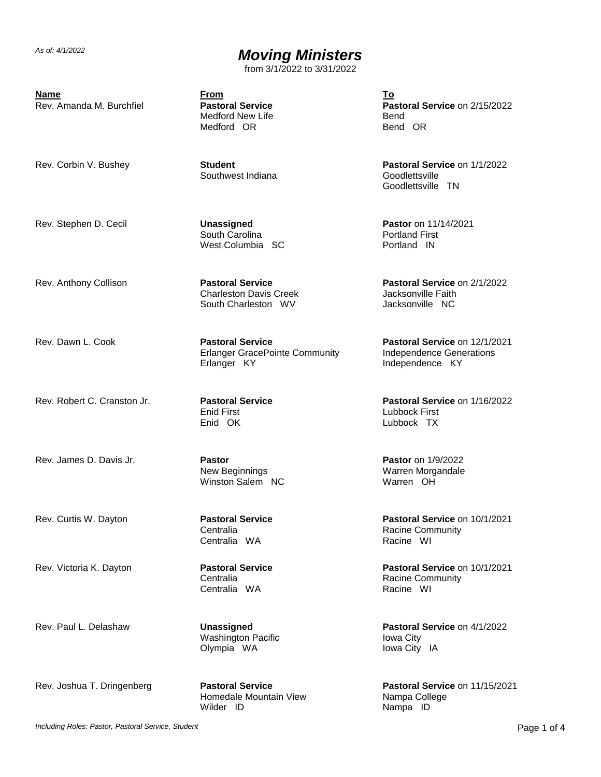from 3/1/2022 to 3/31/2022

**Name From To** Rev. Amanda M. Burchfiel **Pastoral Service**

Medford New Life Medford OR

Rev. Corbin V. Bushey **Student**

Southwest Indiana

Rev. Stephen D. Cecil **Unassigned** South Carolina West Columbia SC

Rev. Anthony Collison **Pastoral Service** Charleston Davis Creek South Charleston WV

Rev. Dawn L. Cook **Pastoral Service** Erlanger GracePointe Community Erlanger KY

Rev. Robert C. Cranston Jr. **Pastoral Service** Enid First Enid OK

Rev. James D. Davis Jr. **Pastor** New Beginnings Winston Salem NC

Rev. Curtis W. Dayton **Pastoral Service Centralia** Centralia WA

Rev. Victoria K. Dayton **Pastoral Service Centralia** Centralia WA

Rev. Paul L. Delashaw **Unassigned** Washington Pacific Olympia WA

Rev. Joshua T. Dringenberg **Pastoral Service**

Homedale Mountain View Wilder ID

**Pastoral Service** on 2/15/2022 Bend Bend OR

**Pastoral Service** on 1/1/2022 Goodlettsville Goodlettsville TN

**Pastor** on 11/14/2021 Portland First Portland IN

**Pastoral Service** on 2/1/2022 Jacksonville Faith Jacksonville NC

**Pastoral Service** on 12/1/2021 Independence Generations Independence KY

**Pastoral Service** on 1/16/2022 Lubbock First Lubbock TX

**Pastor** on 1/9/2022 Warren Morgandale Warren OH

**Pastoral Service** on 10/1/2021 Racine Community Racine WI

**Pastoral Service** on 10/1/2021 Racine Community Racine WI

**Pastoral Service** on 4/1/2022 Iowa City Iowa City IA

**Pastoral Service** on 11/15/2021 Nampa College Nampa ID

*Including Roles: Pastor, Pastoral Service, Student* Page 1 of 4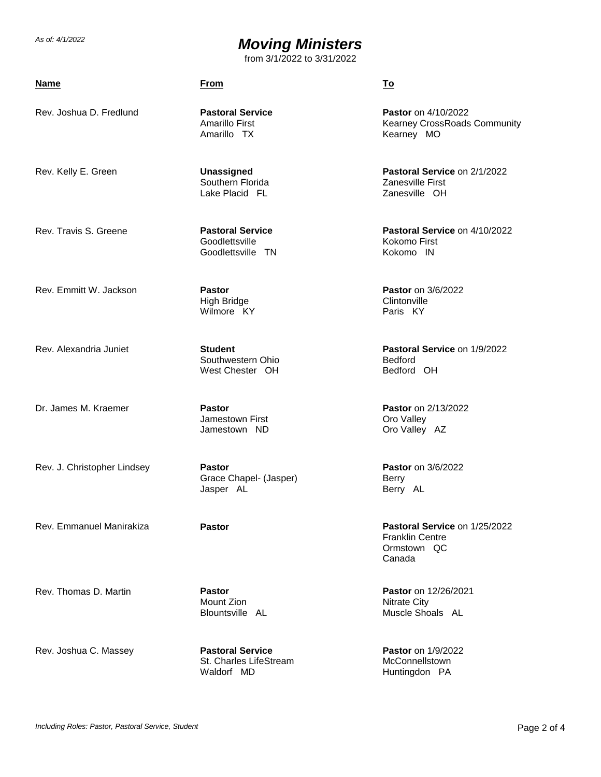from 3/1/2022 to 3/31/2022

### **Name From To**

Rev. Joshua D. Fredlund **Pastoral Service**

Rev. Kelly E. Green **Unassigned**

Southern Florida Lake Placid FL

Amarillo First Amarillo TX

Rev. Travis S. Greene **Pastoral Service**

Rev. Emmitt W. Jackson **Pastor** High Bridge Wilmore KY

**Goodlettsville** Goodlettsville TN

Rev. Alexandria Juniet **Student** Southwestern Ohio West Chester OH

Dr. James M. Kraemer **Pastor** Jamestown First Jamestown ND

Rev. J. Christopher Lindsey **Pastor** Grace Chapel- (Jasper) Jasper AL

Rev. Thomas D. Martin **Pastor**

Mount Zion Blountsville AL

Rev. Joshua C. Massey **Pastoral Service**

St. Charles LifeStream Waldorf MD

**Pastor** on 4/10/2022 Kearney CrossRoads Community Kearney MO

**Pastoral Service** on 2/1/2022 Zanesville First Zanesville OH

**Pastoral Service** on 4/10/2022 Kokomo First Kokomo IN

**Pastor** on 3/6/2022 **Clintonville** Paris KY

**Pastoral Service** on 1/9/2022 Bedford Bedford OH

**Pastor** on 2/13/2022 Oro Valley Oro Valley AZ

**Pastor** on 3/6/2022 Berry Berry AL

Rev. Emmanuel Manirakiza **Pastor Pastoral Service** on 1/25/2022 Franklin Centre Ormstown QC Canada

> **Pastor** on 12/26/2021 Nitrate City Muscle Shoals AL

**Pastor** on 1/9/2022 **McConnellstown** Huntingdon PA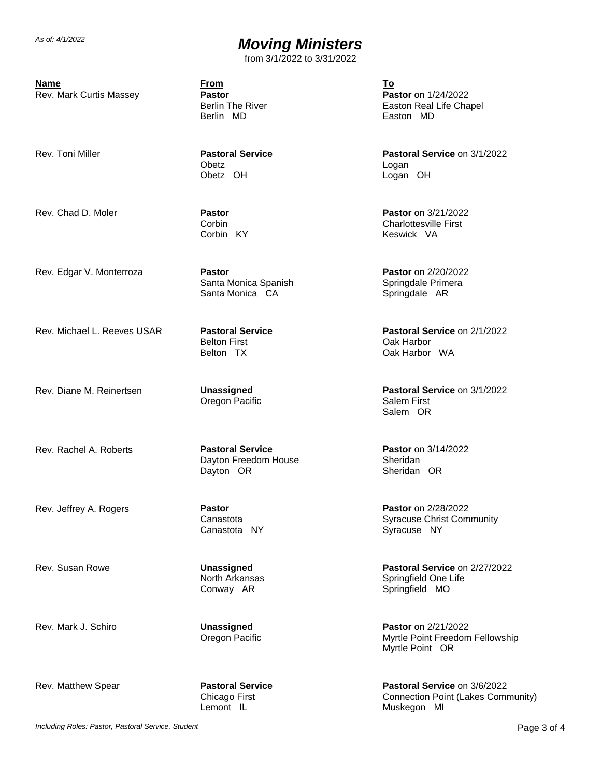from 3/1/2022 to 3/31/2022

**Name From To**

Rev. Mark Curtis Massey **Pastor**

Berlin The River Berlin MD

Rev. Toni Miller **Pastoral Service**

**Obetz** Obetz OH

Corbin Corbin KY

Rev. Chad D. Moler **Pastor**

Rev. Edgar V. Monterroza **Pastor**

Santa Monica Spanish Santa Monica CA

Rev. Michael L. Reeves USAR **Pastoral Service** Belton First Belton TX

Rev. Diane M. Reinertsen **Unassigned** Oregon Pacific

Rev. Rachel A. Roberts **Pastoral Service** Dayton Freedom House Dayton OR

Rev. Jeffrey A. Rogers **Pastor** Canastota Canastota NY

Rev. Susan Rowe **Unassigned** North Arkansas Conway AR

Rev. Mark J. Schiro **Unassigned** Oregon Pacific

Rev. Matthew Spear **Pastoral Service** 

Chicago First Lemont IL

**Pastor** on 1/24/2022 Easton Real Life Chapel Easton MD

**Pastoral Service** on 3/1/2022 Logan Logan OH

**Pastor** on 3/21/2022 Charlottesville First Keswick VA

**Pastor** on 2/20/2022 Springdale Primera Springdale AR

**Pastoral Service** on 2/1/2022 Oak Harbor Oak Harbor WA

**Pastoral Service** on 3/1/2022 Salem First Salem OR

**Pastor** on 3/14/2022 Sheridan Sheridan OR

**Pastor** on 2/28/2022 Syracuse Christ Community Syracuse NY

**Pastoral Service** on 2/27/2022 Springfield One Life Springfield MO

**Pastor** on 2/21/2022 Myrtle Point Freedom Fellowship Myrtle Point OR

**Pastoral Service** on 3/6/2022 Connection Point (Lakes Community) Muskegon MI

*Including Roles: Pastor, Pastoral Service, Student* Page 3 of 4